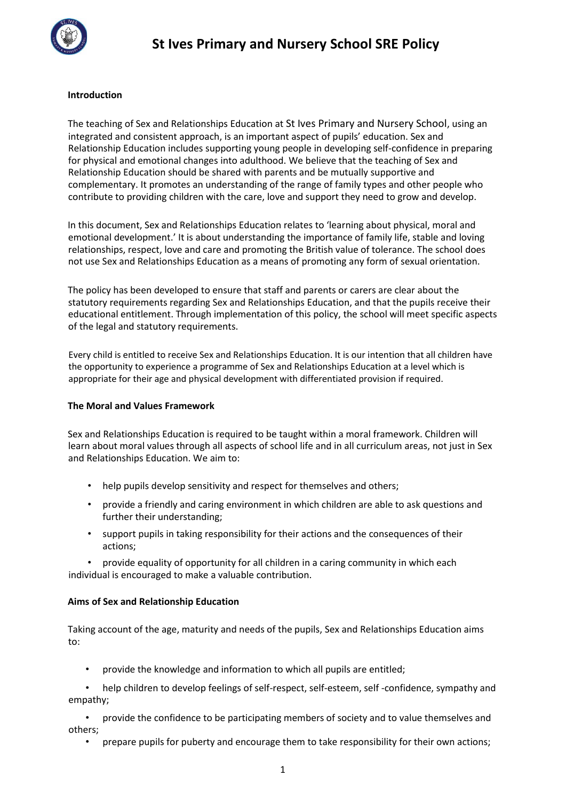

### **Introduction**

The teaching of Sex and Relationships Education at St Ives Primary and Nursery School, using an integrated and consistent approach, is an important aspect of pupils' education. Sex and Relationship Education includes supporting young people in developing self-confidence in preparing for physical and emotional changes into adulthood. We believe that the teaching of Sex and Relationship Education should be shared with parents and be mutually supportive and complementary. It promotes an understanding of the range of family types and other people who contribute to providing children with the care, love and support they need to grow and develop.

In this document, Sex and Relationships Education relates to 'learning about physical, moral and emotional development.' It is about understanding the importance of family life, stable and loving relationships, respect, love and care and promoting the British value of tolerance. The school does not use Sex and Relationships Education as a means of promoting any form of sexual orientation.

The policy has been developed to ensure that staff and parents or carers are clear about the statutory requirements regarding Sex and Relationships Education, and that the pupils receive their educational entitlement. Through implementation of this policy, the school will meet specific aspects of the legal and statutory requirements.

Every child is entitled to receive Sex and Relationships Education. It is our intention that all children have the opportunity to experience a programme of Sex and Relationships Education at a level which is appropriate for their age and physical development with differentiated provision if required.

#### **The Moral and Values Framework**

Sex and Relationships Education is required to be taught within a moral framework. Children will learn about moral values through all aspects of school life and in all curriculum areas, not just in Sex and Relationships Education. We aim to:

- help pupils develop sensitivity and respect for themselves and others;
- provide a friendly and caring environment in which children are able to ask questions and further their understanding;
- support pupils in taking responsibility for their actions and the consequences of their actions;

• provide equality of opportunity for all children in a caring community in which each individual is encouraged to make a valuable contribution.

#### **Aims of Sex and Relationship Education**

Taking account of the age, maturity and needs of the pupils, Sex and Relationships Education aims to:

• provide the knowledge and information to which all pupils are entitled;

• help children to develop feelings of self-respect, self-esteem, self -confidence, sympathy and empathy;

• provide the confidence to be participating members of society and to value themselves and others;

• prepare pupils for puberty and encourage them to take responsibility for their own actions;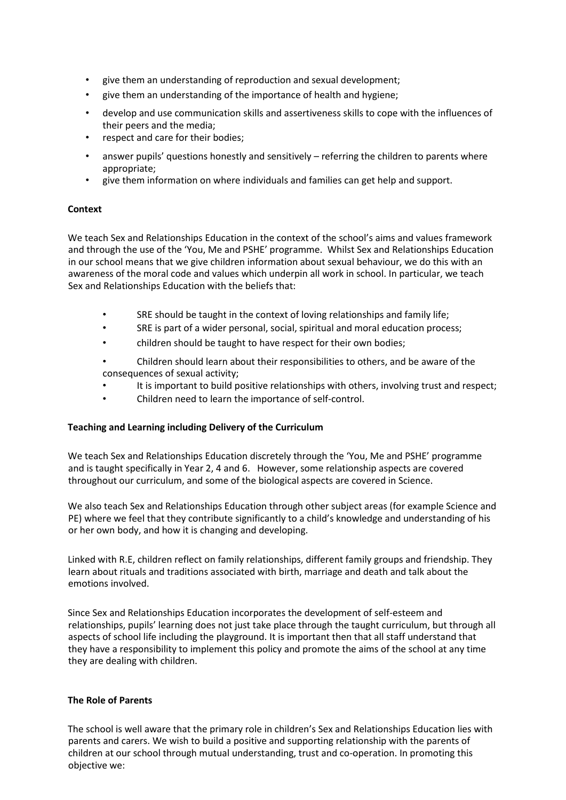- give them an understanding of reproduction and sexual development;
- give them an understanding of the importance of health and hygiene;
- develop and use communication skills and assertiveness skills to cope with the influences of their peers and the media;
- respect and care for their bodies;
- answer pupils' questions honestly and sensitively referring the children to parents where appropriate;
- give them information on where individuals and families can get help and support.

## **Context**

We teach Sex and Relationships Education in the context of the school's aims and values framework and through the use of the 'You, Me and PSHE' programme. Whilst Sex and Relationships Education in our school means that we give children information about sexual behaviour, we do this with an awareness of the moral code and values which underpin all work in school. In particular, we teach Sex and Relationships Education with the beliefs that:

- SRE should be taught in the context of loving relationships and family life;
- SRE is part of a wider personal, social, spiritual and moral education process;
- children should be taught to have respect for their own bodies;
- Children should learn about their responsibilities to others, and be aware of the consequences of sexual activity;
- It is important to build positive relationships with others, involving trust and respect;
- Children need to learn the importance of self-control.

# **Teaching and Learning including Delivery of the Curriculum**

We teach Sex and Relationships Education discretely through the 'You, Me and PSHE' programme and is taught specifically in Year 2, 4 and 6. However, some relationship aspects are covered throughout our curriculum, and some of the biological aspects are covered in Science.

We also teach Sex and Relationships Education through other subject areas (for example Science and PE) where we feel that they contribute significantly to a child's knowledge and understanding of his or her own body, and how it is changing and developing.

Linked with R.E, children reflect on family relationships, different family groups and friendship. They learn about rituals and traditions associated with birth, marriage and death and talk about the emotions involved.

Since Sex and Relationships Education incorporates the development of self-esteem and relationships, pupils' learning does not just take place through the taught curriculum, but through all aspects of school life including the playground. It is important then that all staff understand that they have a responsibility to implement this policy and promote the aims of the school at any time they are dealing with children.

#### **The Role of Parents**

The school is well aware that the primary role in children's Sex and Relationships Education lies with parents and carers. We wish to build a positive and supporting relationship with the parents of children at our school through mutual understanding, trust and co-operation. In promoting this objective we: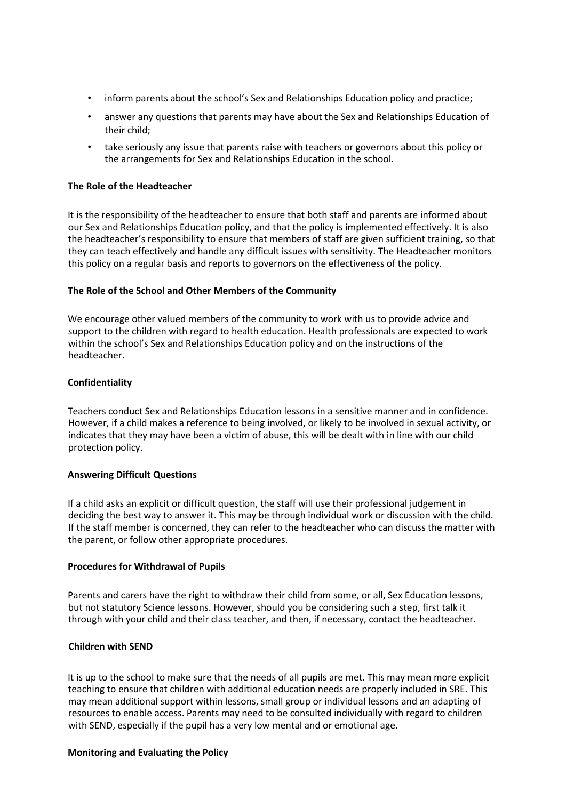- inform parents about the school's Sex and Relationships Education policy and practice;
- answer any questions that parents may have about the Sex and Relationships Education of their child;
- take seriously any issue that parents raise with teachers or governors about this policy or the arrangements for Sex and Relationships Education in the school.

#### **The Role of the Headteacher**

It is the responsibility of the headteacher to ensure that both staff and parents are informed about our Sex and Relationships Education policy, and that the policy is implemented effectively. It is also the headteacher's responsibility to ensure that members of staff are given sufficient training, so that they can teach effectively and handle any difficult issues with sensitivity. The Headteacher monitors this policy on a regular basis and reports to governors on the effectiveness of the policy.

#### **The Role of the School and Other Members of the Community**

We encourage other valued members of the community to work with us to provide advice and support to the children with regard to health education. Health professionals are expected to work within the school's Sex and Relationships Education policy and on the instructions of the headteacher.

#### **Confidentiality**

Teachers conduct Sex and Relationships Education lessons in a sensitive manner and in confidence. However, if a child makes a reference to being involved, or likely to be involved in sexual activity, or indicates that they may have been a victim of abuse, this will be dealt with in line with our child protection policy.

#### **Answering Difficult Questions**

If a child asks an explicit or difficult question, the staff will use their professional judgement in deciding the best way to answer it. This may be through individual work or discussion with the child. If the staff member is concerned, they can refer to the headteacher who can discuss the matter with the parent, or follow other appropriate procedures.

#### **Procedures for Withdrawal of Pupils**

Parents and carers have the right to withdraw their child from some, or all, Sex Education lessons, but not statutory Science lessons. However, should you be considering such a step, first talk it through with your child and their class teacher, and then, if necessary, contact the headteacher.

#### **Children with SEND**

It is up to the school to make sure that the needs of all pupils are met. This may mean more explicit teaching to ensure that children with additional education needs are properly included in SRE. This may mean additional support within lessons, small group or individual lessons and an adapting of resources to enable access. Parents may need to be consulted individually with regard to children with SEND, especially if the pupil has a very low mental and or emotional age.

#### **Monitoring and Evaluating the Policy**